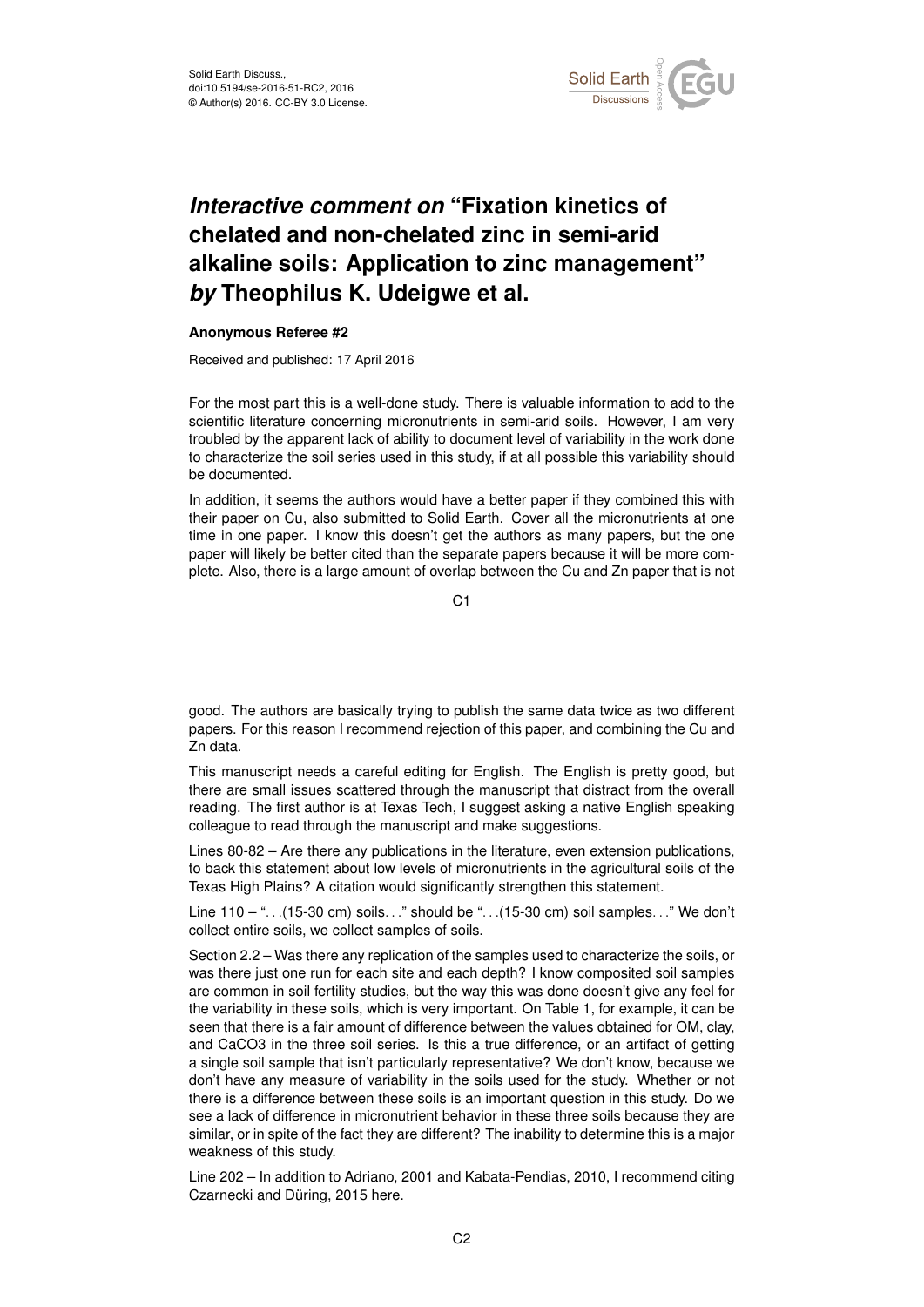

## *Interactive comment on* **"Fixation kinetics of chelated and non-chelated zinc in semi-arid alkaline soils: Application to zinc management"** *by* **Theophilus K. Udeigwe et al.**

## **Anonymous Referee #2**

Received and published: 17 April 2016

For the most part this is a well-done study. There is valuable information to add to the scientific literature concerning micronutrients in semi-arid soils. However, I am very troubled by the apparent lack of ability to document level of variability in the work done to characterize the soil series used in this study, if at all possible this variability should be documented.

In addition, it seems the authors would have a better paper if they combined this with their paper on Cu, also submitted to Solid Earth. Cover all the micronutrients at one time in one paper. I know this doesn't get the authors as many papers, but the one paper will likely be better cited than the separate papers because it will be more complete. Also, there is a large amount of overlap between the Cu and Zn paper that is not

C1

good. The authors are basically trying to publish the same data twice as two different papers. For this reason I recommend rejection of this paper, and combining the Cu and Zn data.

This manuscript needs a careful editing for English. The English is pretty good, but there are small issues scattered through the manuscript that distract from the overall reading. The first author is at Texas Tech, I suggest asking a native English speaking colleague to read through the manuscript and make suggestions.

Lines 80-82 – Are there any publications in the literature, even extension publications, to back this statement about low levels of micronutrients in the agricultural soils of the Texas High Plains? A citation would significantly strengthen this statement.

Line 110 – "...(15-30 cm) soils..." should be "...(15-30 cm) soil samples..." We don't collect entire soils, we collect samples of soils.

Section 2.2 – Was there any replication of the samples used to characterize the soils, or was there just one run for each site and each depth? I know composited soil samples are common in soil fertility studies, but the way this was done doesn't give any feel for the variability in these soils, which is very important. On Table 1, for example, it can be seen that there is a fair amount of difference between the values obtained for OM, clay, and CaCO3 in the three soil series. Is this a true difference, or an artifact of getting a single soil sample that isn't particularly representative? We don't know, because we don't have any measure of variability in the soils used for the study. Whether or not there is a difference between these soils is an important question in this study. Do we see a lack of difference in micronutrient behavior in these three soils because they are similar, or in spite of the fact they are different? The inability to determine this is a major weakness of this study.

Line 202 – In addition to Adriano, 2001 and Kabata-Pendias, 2010, I recommend citing Czarnecki and Düring, 2015 here.